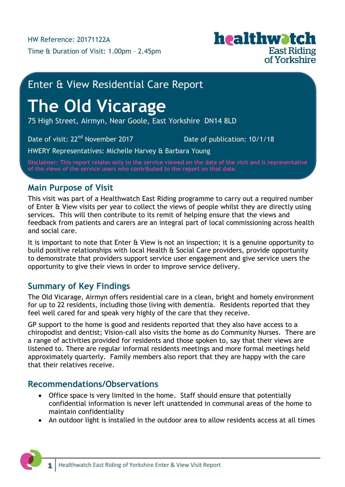

## Enter & View Residential Care Report

# **The Old Vicarage**

75 High Street, Airmyn, Near Goole, East Yorkshire DN14 8LD

Date of visit: 22<sup>nd</sup> November 2017 **Date of publication: 10/1/18** 

HWERY Representatives: Michelle Harvey & Barbara Young

**Disclaimer: This report relates only to the service viewed on the date of the visit and is representative of the views of the service users who contributed to the report on that date.**

## **Main Purpose of Visit**

This visit was part of a Healthwatch East Riding programme to carry out a required number of Enter & View visits per year to collect the views of people whilst they are directly using services. This will then contribute to its remit of helping ensure that the views and feedback from patients and carers are an integral part of local commissioning across health and social care.

It is important to note that Enter & View is not an inspection; it is a genuine opportunity to build positive relationships with local Health & Social Care providers, provide opportunity to demonstrate that providers support service user engagement and give service users the opportunity to give their views in order to improve service delivery.

## **Summary of Key Findings**

The Old Vicarage, Airmyn offers residential care in a clean, bright and homely environment for up to 22 residents, including those living with dementia. Residents reported that they feel well cared for and speak very highly of the care that they receive.

GP support to the home is good and residents reported that they also have access to a chiropodist and dentist; Vision-call also visits the home as do Community Nurses. There are a range of activities provided for residents and those spoken to, say that their views are listened to. There are regular informal residents meetings and more formal meetings held approximately quarterly. Family members also report that they are happy with the care that their relatives receive.

## **Recommendations/Observations**

- Office space is very limited in the home. Staff should ensure that potentially confidential information is never left unattended in communal areas of the home to maintain confidentiality
- An outdoor light is installed in the outdoor area to allow residents access at all times

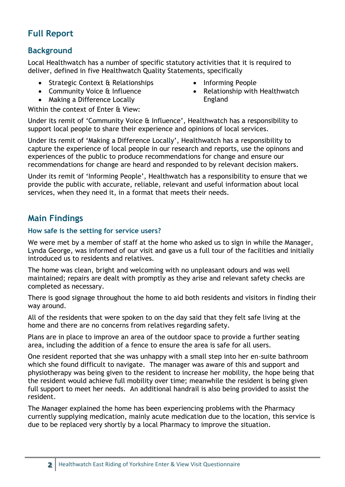## **Full Report**

## **Background**

Local Healthwatch has a number of specific statutory activities that it is required to deliver, defined in five Healthwatch Quality Statements, specifically

- Strategic Context & Relationships
- Community Voice & Influence
- Making a Difference Locally

Within the context of Enter & View:

- Informing People
- Relationship with Healthwatch England

Under its remit of 'Community Voice & Influence', Healthwatch has a responsibility to support local people to share their experience and opinions of local services.

Under its remit of 'Making a Difference Locally', Healthwatch has a responsibility to capture the experience of local people in our research and reports, use the opinons and experiences of the public to produce recommendations for change and ensure our recommendations for change are heard and responded to by relevant decision makers.

Under its remit of 'Informing People', Healthwatch has a responsibility to ensure that we provide the public with accurate, reliable, relevant and useful information about local services, when they need it, in a format that meets their needs.

## **Main Findings**

#### **How safe is the setting for service users?**

We were met by a member of staff at the home who asked us to sign in while the Manager, Lynda George, was informed of our visit and gave us a full tour of the facilities and initially introduced us to residents and relatives.

The home was clean, bright and welcoming with no unpleasant odours and was well maintained; repairs are dealt with promptly as they arise and relevant safety checks are completed as necessary.

There is good signage throughout the home to aid both residents and visitors in finding their way around.

All of the residents that were spoken to on the day said that they felt safe living at the home and there are no concerns from relatives regarding safety.

Plans are in place to improve an area of the outdoor space to provide a further seating area, including the addition of a fence to ensure the area is safe for all users.

One resident reported that she was unhappy with a small step into her en-suite bathroom which she found difficult to navigate. The manager was aware of this and support and physiotherapy was being given to the resident to increase her mobility, the hope being that the resident would achieve full mobility over time; meanwhile the resident is being given full support to meet her needs. An additional handrail is also being provided to assist the resident.

The Manager explained the home has been experiencing problems with the Pharmacy currently supplying medication, mainly acute medication due to the location, this service is due to be replaced very shortly by a local Pharmacy to improve the situation.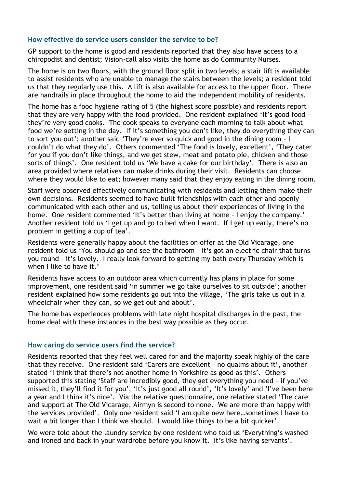#### **How effective do service users consider the service to be?**

GP support to the home is good and residents reported that they also have access to a chiropodist and dentist; Vision-call also visits the home as do Community Nurses.

The home is on two floors, with the ground floor split in two levels; a stair lift is available to assist residents who are unable to manage the stairs between the levels; a resident told us that they regularly use this. A lift is also available for access to the upper floor. There are handrails in place throughout the home to aid the independent mobility of residents.

The home has a food hygiene rating of 5 (the highest score possible) and residents report that they are very happy with the food provided. One resident explained 'It's good food – they're very good cooks. The cook speaks to everyone each morning to talk about what food we're getting in the day. If it's something you don't like, they do everything they can to sort you out'; another said 'They're ever so quick and good in the dining room – I couldn't do what they do'. Others commented 'The food is lovely, excellent', 'They cater for you if you don't like things, and we get stew, meat and potato pie, chicken and those sorts of things'. One resident told us 'We have a cake for our birthday'. There is also an area provided where relatives can make drinks during their visit. Residents can choose where they would like to eat; however many said that they enjoy eating in the dining room.

Staff were observed effectively communicating with residents and letting them make their own decisions. Residents seemed to have built friendships with each other and openly communicated with each other and us, telling us about their experiences of living in the home. One resident commented 'It's better than living at home - I enjoy the company.' Another resident told us 'I get up and go to bed when I want. If I get up early, there's no problem in getting a cup of tea'.

Residents were generally happy about the facilities on offer at the Old Vicarage, one resident told us 'You should go and see the bathroom – it's got an electric chair that turns you round – it's lovely. I really look forward to getting my bath every Thursday which is when I like to have it.'

Residents have access to an outdoor area which currently has plans in place for some improvement, one resident said 'in summer we go take ourselves to sit outside'; another resident explained how some residents go out into the village, 'The girls take us out in a wheelchair when they can, so we get out and about'.

The home has experiences problems with late night hospital discharges in the past, the home deal with these instances in the best way possible as they occur.

#### **How caring do service users find the service?**

Residents reported that they feel well cared for and the majority speak highly of the care that they receive. One resident said 'Carers are excellent – no qualms about it', another stated 'I think that there's not another home in Yorkshire as good as this'. Others supported this stating 'Staff are incredibly good, they get everything you need – if you've missed it, they'll find it for you', 'It's just good all round', 'It's lovely' and 'I've been here a year and I think it's nice'. Via the relative questionnaire, one relative stated 'The care and support at The Old Vicarage, Airmyn is second to none. We are more than happy with the services provided'. Only one resident said 'I am quite new here…sometimes I have to wait a bit longer than I think we should. I would like things to be a bit quicker'.

We were told about the laundry service by one resident who told us 'Everything's washed and ironed and back in your wardrobe before you know it. It's like having servants'.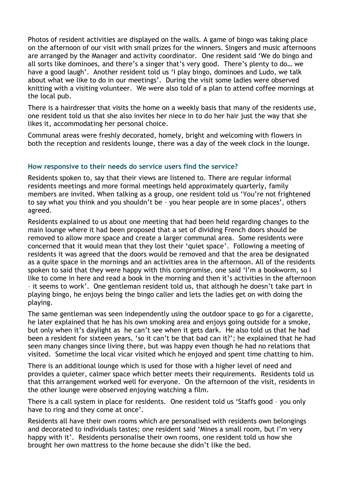Photos of resident activities are displayed on the walls. A game of bingo was taking place on the afternoon of our visit with small prizes for the winners. Singers and music afternoons are arranged by the Manager and activity coordinator. One resident said 'We do bingo and all sorts like dominoes, and there's a singer that's very good. There's plenty to do… we have a good laugh'. Another resident told us 'I play bingo, dominoes and Ludo, we talk about what we like to do in our meetings'. During the visit some ladies were observed knitting with a visiting volunteer. We were also told of a plan to attend coffee mornings at the local pub.

There is a hairdresser that visits the home on a weekly basis that many of the residents use, one resident told us that she also invites her niece in to do her hair just the way that she likes it, accommodating her personal choice.

Communal areas were freshly decorated, homely, bright and welcoming with flowers in both the reception and residents lounge, there was a day of the week clock in the lounge.

#### **How responsive to their needs do service users find the service?**

Residents spoken to, say that their views are listened to. There are regular informal residents meetings and more formal meetings held approximately quarterly, family members are invited. When talking as a group, one resident told us 'You're not frightened to say what you think and you shouldn't be – you hear people are in some places', others agreed.

Residents explained to us about one meeting that had been held regarding changes to the main lounge where it had been proposed that a set of dividing French doors should be removed to allow more space and create a larger communal area. Some residents were concerned that it would mean that they lost their 'quiet space'. Following a meeting of residents it was agreed that the doors would be removed and that the area be designated as a quite space in the mornings and an activities area in the afternoon. All of the residents spoken to said that they were happy with this compromise, one said 'I'm a bookworm, so I like to come in here and read a book in the morning and then it's activities in the afternoon – it seems to work'. One gentleman resident told us, that although he doesn't take part in playing bingo, he enjoys being the bingo caller and lets the ladies get on with doing the playing.

The same gentleman was seen independently using the outdoor space to go for a cigarette, he later explained that he has his own smoking area and enjoys going outside for a smoke, but only when it's daylight as he can't see when it gets dark. He also told us that he had been a resident for sixteen years, 'so it can't be that bad can it?'; he explained that he had seen many changes since living there, but was happy even though he had no relations that visited. Sometime the local vicar visited which he enjoyed and spent time chatting to him.

There is an additional lounge which is used for those with a higher level of need and provides a quieter, calmer space which better meets their requirements. Residents told us that this arrangement worked well for everyone. On the afternoon of the visit, residents in the other lounge were observed enjoying watching a film.

There is a call system in place for residents. One resident told us 'Staffs good – you only have to ring and they come at once'.

Residents all have their own rooms which are personalised with residents own belongings and decorated to individuals tastes; one resident said 'Mines a small room, but I'm very happy with it'. Residents personalise their own rooms, one resident told us how she brought her own mattress to the home because she didn't like the bed.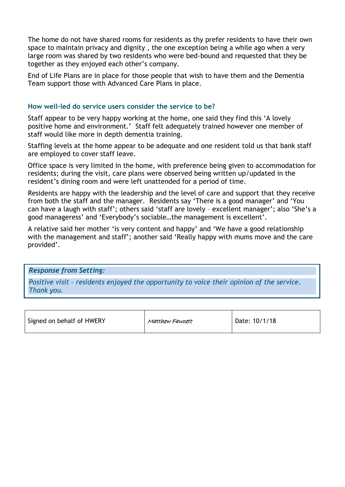The home do not have shared rooms for residents as thy prefer residents to have their own space to maintain privacy and dignity , the one exception being a while ago when a very large room was shared by two residents who were bed-bound and requested that they be together as they enjoyed each other's company.

End of Life Plans are in place for those people that wish to have them and the Dementia Team support those with Advanced Care Plans in place.

#### **How well-led do service users consider the service to be?**

Staff appear to be very happy working at the home, one said they find this 'A lovely positive home and environment.' Staff felt adequately trained however one member of staff would like more in depth dementia training.

Staffing levels at the home appear to be adequate and one resident told us that bank staff are employed to cover staff leave.

Office space is very limited in the home, with preference being given to accommodation for residents; during the visit, care plans were observed being written up/updated in the resident's dining room and were left unattended for a period of time.

Residents are happy with the leadership and the level of care and support that they receive from both the staff and the manager. Residents say 'There is a good manager' and 'You can have a laugh with staff'; others said 'staff are lovely – excellent manager'; also 'She's a good manageress' and 'Everybody's sociable…the management is excellent'.

A relative said her mother 'is very content and happy' and 'We have a good relationship with the management and staff'; another said 'Really happy with mums move and the care provided'.

*Response from Setting:*

*Positive visit – residents enjoyed the opportunity to voice their opinion of the service. Thank you.*

| Signed on behalf of HWERY | Matthew Fawcett | Date: 10/1/18 |
|---------------------------|-----------------|---------------|
|                           |                 |               |